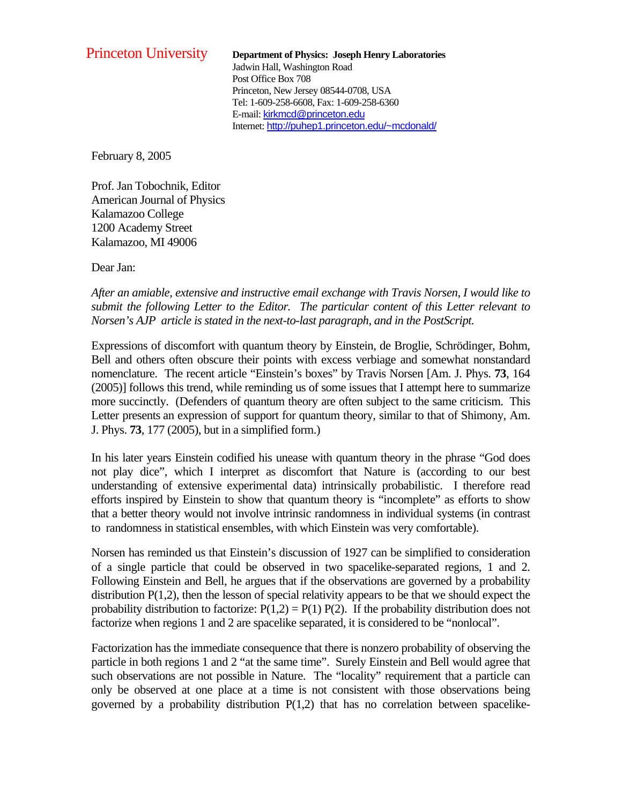## Princeton University **Department of Physics: Joseph Henry Laboratories** Jadwin Hall, Washington Road Post Office Box 708 Princeton, New Jersey 08544-0708, USA Tel: 1-609-258-6608, Fax: 1-609-258-6360 E-mail: kirkmcd@princeton.edu Internet: http://puhep1.princeton.edu/~mcdonald/

February 8, 2005

Prof. Jan Tobochnik, Editor American Journal of Physics Kalamazoo College 1200 Academy Street Kalamazoo, MI 49006

Dear Jan:

*After an amiable, extensive and instructive email exchange with Travis Norsen, I would like to submit the following Letter to the Editor. The particular content of this Letter relevant to Norsen's AJP article is stated in the next-to-last paragraph, and in the PostScript.* 

Expressions of discomfort with quantum theory by Einstein, de Broglie, Schrödinger, Bohm, Bell and others often obscure their points with excess verbiage and somewhat nonstandard nomenclature. The recent article "Einstein's boxes" by Travis Norsen [Am. J. Phys. **73**, 164 (2005)] follows this trend, while reminding us of some issues that I attempt here to summarize more succinctly. (Defenders of quantum theory are often subject to the same criticism. This Letter presents an expression of support for quantum theory, similar to that of Shimony, Am. J. Phys. **73**, 177 (2005), but in a simplified form.)

In his later years Einstein codified his unease with quantum theory in the phrase "God does not play dice", which I interpret as discomfort that Nature is (according to our best understanding of extensive experimental data) intrinsically probabilistic. I therefore read efforts inspired by Einstein to show that quantum theory is "incomplete" as efforts to show that a better theory would not involve intrinsic randomness in individual systems (in contrast to randomness in statistical ensembles, with which Einstein was very comfortable).

Norsen has reminded us that Einstein's discussion of 1927 can be simplified to consideration of a single particle that could be observed in two spacelike-separated regions, 1 and 2. Following Einstein and Bell, he argues that if the observations are governed by a probability distribution  $P(1,2)$ , then the lesson of special relativity appears to be that we should expect the probability distribution to factorize:  $P(1,2) = P(1) P(2)$ . If the probability distribution does not factorize when regions 1 and 2 are spacelike separated, it is considered to be "nonlocal".

Factorization has the immediate consequence that there is nonzero probability of observing the particle in both regions 1 and 2 "at the same time". Surely Einstein and Bell would agree that such observations are not possible in Nature. The "locality" requirement that a particle can only be observed at one place at a time is not consistent with those observations being governed by a probability distribution  $P(1,2)$  that has no correlation between spacelike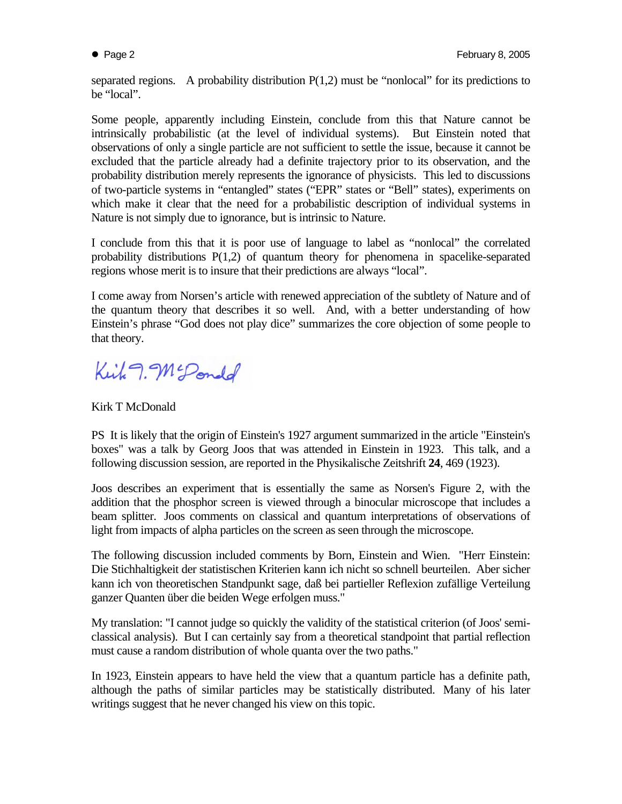separated regions. A probability distribution  $P(1,2)$  must be "nonlocal" for its predictions to be "local".

Some people, apparently including Einstein, conclude from this that Nature cannot be intrinsically probabilistic (at the level of individual systems). But Einstein noted that observations of only a single particle are not sufficient to settle the issue, because it cannot be excluded that the particle already had a definite trajectory prior to its observation, and the probability distribution merely represents the ignorance of physicists. This led to discussions of two-particle systems in "entangled" states ("EPR" states or "Bell" states), experiments on which make it clear that the need for a probabilistic description of individual systems in Nature is not simply due to ignorance, but is intrinsic to Nature.

I conclude from this that it is poor use of language to label as "nonlocal" the correlated probability distributions P(1,2) of quantum theory for phenomena in spacelike-separated regions whose merit is to insure that their predictions are always "local".

I come away from Norsen's article with renewed appreciation of the subtlety of Nature and of the quantum theory that describes it so well. And, with a better understanding of how Einstein's phrase "God does not play dice" summarizes the core objection of some people to that theory.

Kirk 9. McPondd

## Kirk T McDonald

PS It is likely that the origin of Einstein's 1927 argument summarized in the article "Einstein's boxes" was a talk by Georg Joos that was attended in Einstein in 1923. This talk, and a following discussion session, are reported in the Physikalische Zeitshrift **24**, 469 (1923).

Joos describes an experiment that is essentially the same as Norsen's Figure 2, with the addition that the phosphor screen is viewed through a binocular microscope that includes a beam splitter. Joos comments on classical and quantum interpretations of observations of light from impacts of alpha particles on the screen as seen through the microscope.

The following discussion included comments by Born, Einstein and Wien. "Herr Einstein: Die Stichhaltigkeit der statistischen Kriterien kann ich nicht so schnell beurteilen. Aber sicher kann ich von theoretischen Standpunkt sage, daß bei partieller Reflexion zufällige Verteilung ganzer Quanten über die beiden Wege erfolgen muss."

My translation: "I cannot judge so quickly the validity of the statistical criterion (of Joos' semiclassical analysis). But I can certainly say from a theoretical standpoint that partial reflection must cause a random distribution of whole quanta over the two paths."

In 1923, Einstein appears to have held the view that a quantum particle has a definite path, although the paths of similar particles may be statistically distributed. Many of his later writings suggest that he never changed his view on this topic.